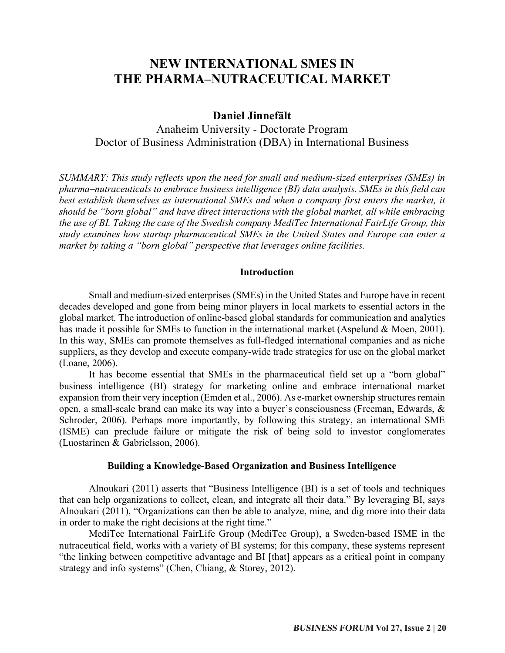# **NEW INTERNATIONAL SMES IN THE PHARMA–NUTRACEUTICAL MARKET**

# **Daniel Jinnefält**

Anaheim University - Doctorate Program Doctor of Business Administration (DBA) in International Business

*SUMMARY: This study reflects upon the need for small and medium-sized enterprises (SMEs) in pharma–nutraceuticals to embrace business intelligence (BI) data analysis. SMEs in this field can best establish themselves as international SMEs and when a company first enters the market, it should be "born global" and have direct interactions with the global market, all while embracing the use of BI. Taking the case of the Swedish company MediTec International FairLife Group, this study examines how startup pharmaceutical SMEs in the United States and Europe can enter a market by taking a "born global" perspective that leverages online facilities.*

# **Introduction**

Small and medium-sized enterprises (SMEs) in the United States and Europe have in recent decades developed and gone from being minor players in local markets to essential actors in the global market. The introduction of online-based global standards for communication and analytics has made it possible for SMEs to function in the international market (Aspelund & Moen, 2001). In this way, SMEs can promote themselves as full-fledged international companies and as niche suppliers, as they develop and execute company-wide trade strategies for use on the global market (Loane, 2006).

It has become essential that SMEs in the pharmaceutical field set up a "born global" business intelligence (BI) strategy for marketing online and embrace international market expansion from their very inception (Emden et al., 2006). As e-market ownership structures remain open, a small-scale brand can make its way into a buyer's consciousness (Freeman, Edwards, & Schroder, 2006). Perhaps more importantly, by following this strategy, an international SME (ISME) can preclude failure or mitigate the risk of being sold to investor conglomerates (Luostarinen & Gabrielsson, 2006).

#### **Building a Knowledge-Based Organization and Business Intelligence**

Alnoukari (2011) asserts that "Business Intelligence (BI) is a set of tools and techniques that can help organizations to collect, clean, and integrate all their data." By leveraging BI, says Alnoukari (2011), "Organizations can then be able to analyze, mine, and dig more into their data in order to make the right decisions at the right time."

MediTec International FairLife Group (MediTec Group), a Sweden-based ISME in the nutraceutical field, works with a variety of BI systems; for this company, these systems represent "the linking between competitive advantage and BI [that] appears as a critical point in company strategy and info systems" (Chen, Chiang, & Storey, 2012).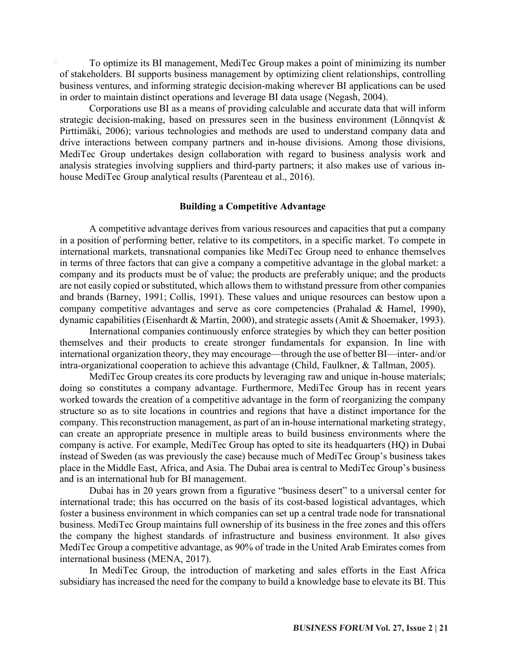To optimize its BI management, MediTec Group makes a point of minimizing its number of stakeholders. BI supports business management by optimizing client relationships, controlling business ventures, and informing strategic decision-making wherever BI applications can be used in order to maintain distinct operations and leverage BI data usage (Negash, 2004).

Corporations use BI as a means of providing calculable and accurate data that will inform strategic decision-making, based on pressures seen in the business environment (Lönnqvist  $\&$ Pirttimäki, 2006); various technologies and methods are used to understand company data and drive interactions between company partners and in-house divisions. Among those divisions, MediTec Group undertakes design collaboration with regard to business analysis work and analysis strategies involving suppliers and third-party partners; it also makes use of various inhouse MediTec Group analytical results (Parenteau et al., 2016).

# **Building a Competitive Advantage**

A competitive advantage derives from various resources and capacities that put a company in a position of performing better, relative to its competitors, in a specific market. To compete in international markets, transnational companies like MediTec Group need to enhance themselves in terms of three factors that can give a company a competitive advantage in the global market: a company and its products must be of value; the products are preferably unique; and the products are not easily copied or substituted, which allows them to withstand pressure from other companies and brands (Barney, 1991; Collis, 1991). These values and unique resources can bestow upon a company competitive advantages and serve as core competencies (Prahalad & Hamel, 1990), dynamic capabilities (Eisenhardt & Martin, 2000), and strategic assets (Amit & Shoemaker, 1993).

International companies continuously enforce strategies by which they can better position themselves and their products to create stronger fundamentals for expansion. In line with international organization theory, they may encourage—through the use of better BI—inter- and/or intra-organizational cooperation to achieve this advantage (Child, Faulkner, & Tallman, 2005).

MediTec Group creates its core products by leveraging raw and unique in-house materials; doing so constitutes a company advantage. Furthermore, MediTec Group has in recent years worked towards the creation of a competitive advantage in the form of reorganizing the company structure so as to site locations in countries and regions that have a distinct importance for the company. This reconstruction management, as part of an in-house international marketing strategy, can create an appropriate presence in multiple areas to build business environments where the company is active. For example, MediTec Group has opted to site its headquarters (HQ) in Dubai instead of Sweden (as was previously the case) because much of MediTec Group's business takes place in the Middle East, Africa, and Asia. The Dubai area is central to MediTec Group's business and is an international hub for BI management.

Dubai has in 20 years grown from a figurative "business desert" to a universal center for international trade; this has occurred on the basis of its cost-based logistical advantages, which foster a business environment in which companies can set up a central trade node for transnational business. MediTec Group maintains full ownership of its business in the free zones and this offers the company the highest standards of infrastructure and business environment. It also gives MediTec Group a competitive advantage, as 90% of trade in the United Arab Emirates comes from international business (MENA, 2017).

In MediTec Group, the introduction of marketing and sales efforts in the East Africa subsidiary has increased the need for the company to build a knowledge base to elevate its BI. This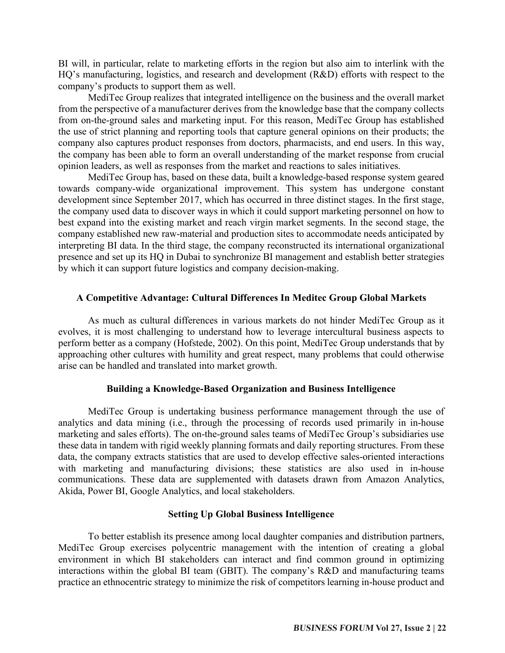BI will, in particular, relate to marketing efforts in the region but also aim to interlink with the HQ's manufacturing, logistics, and research and development (R&D) efforts with respect to the company's products to support them as well.

MediTec Group realizes that integrated intelligence on the business and the overall market from the perspective of a manufacturer derives from the knowledge base that the company collects from on-the-ground sales and marketing input. For this reason, MediTec Group has established the use of strict planning and reporting tools that capture general opinions on their products; the company also captures product responses from doctors, pharmacists, and end users. In this way, the company has been able to form an overall understanding of the market response from crucial opinion leaders, as well as responses from the market and reactions to sales initiatives.

MediTec Group has, based on these data, built a knowledge-based response system geared towards company-wide organizational improvement. This system has undergone constant development since September 2017, which has occurred in three distinct stages. In the first stage, the company used data to discover ways in which it could support marketing personnel on how to best expand into the existing market and reach virgin market segments. In the second stage, the company established new raw-material and production sites to accommodate needs anticipated by interpreting BI data. In the third stage, the company reconstructed its international organizational presence and set up its HQ in Dubai to synchronize BI management and establish better strategies by which it can support future logistics and company decision-making.

# **A Competitive Advantage: Cultural Differences In Meditec Group Global Markets**

As much as cultural differences in various markets do not hinder MediTec Group as it evolves, it is most challenging to understand how to leverage intercultural business aspects to perform better as a company (Hofstede, 2002). On this point, MediTec Group understands that by approaching other cultures with humility and great respect, many problems that could otherwise arise can be handled and translated into market growth.

#### **Building a Knowledge-Based Organization and Business Intelligence**

MediTec Group is undertaking business performance management through the use of analytics and data mining (i.e., through the processing of records used primarily in in-house marketing and sales efforts). The on-the-ground sales teams of MediTec Group's subsidiaries use these data in tandem with rigid weekly planning formats and daily reporting structures. From these data, the company extracts statistics that are used to develop effective sales-oriented interactions with marketing and manufacturing divisions; these statistics are also used in in-house communications. These data are supplemented with datasets drawn from Amazon Analytics, Akida, Power BI, Google Analytics, and local stakeholders.

#### **Setting Up Global Business Intelligence**

To better establish its presence among local daughter companies and distribution partners, MediTec Group exercises polycentric management with the intention of creating a global environment in which BI stakeholders can interact and find common ground in optimizing interactions within the global BI team (GBIT). The company's R&D and manufacturing teams practice an ethnocentric strategy to minimize the risk of competitors learning in-house product and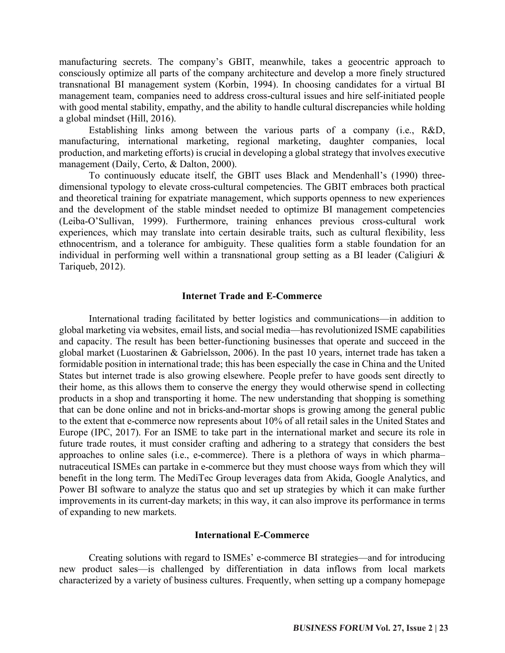manufacturing secrets. The company's GBIT, meanwhile, takes a geocentric approach to consciously optimize all parts of the company architecture and develop a more finely structured transnational BI management system (Korbin, 1994). In choosing candidates for a virtual BI management team, companies need to address cross-cultural issues and hire self-initiated people with good mental stability, empathy, and the ability to handle cultural discrepancies while holding a global mindset (Hill, 2016).

Establishing links among between the various parts of a company (i.e., R&D, manufacturing, international marketing, regional marketing, daughter companies, local production, and marketing efforts) is crucial in developing a global strategy that involves executive management (Daily, Certo, & Dalton, 2000).

To continuously educate itself, the GBIT uses Black and Mendenhall's (1990) threedimensional typology to elevate cross-cultural competencies. The GBIT embraces both practical and theoretical training for expatriate management, which supports openness to new experiences and the development of the stable mindset needed to optimize BI management competencies (Leiba-O'Sullivan, 1999). Furthermore, training enhances previous cross-cultural work experiences, which may translate into certain desirable traits, such as cultural flexibility, less ethnocentrism, and a tolerance for ambiguity. These qualities form a stable foundation for an individual in performing well within a transnational group setting as a BI leader (Caligiuri  $\&$ Tariqueb, 2012).

#### **Internet Trade and E-Commerce**

International trading facilitated by better logistics and communications—in addition to global marketing via websites, email lists, and social media—has revolutionized ISME capabilities and capacity. The result has been better-functioning businesses that operate and succeed in the global market (Luostarinen & Gabrielsson, 2006). In the past 10 years, internet trade has taken a formidable position in international trade; this has been especially the case in China and the United States but internet trade is also growing elsewhere. People prefer to have goods sent directly to their home, as this allows them to conserve the energy they would otherwise spend in collecting products in a shop and transporting it home. The new understanding that shopping is something that can be done online and not in bricks-and-mortar shops is growing among the general public to the extent that e-commerce now represents about 10% of all retail sales in the United States and Europe (IPC, 2017). For an ISME to take part in the international market and secure its role in future trade routes, it must consider crafting and adhering to a strategy that considers the best approaches to online sales (i.e., e-commerce). There is a plethora of ways in which pharma– nutraceutical ISMEs can partake in e-commerce but they must choose ways from which they will benefit in the long term. The MediTec Group leverages data from Akida, Google Analytics, and Power BI software to analyze the status quo and set up strategies by which it can make further improvements in its current-day markets; in this way, it can also improve its performance in terms of expanding to new markets.

#### **International E-Commerce**

Creating solutions with regard to ISMEs' e-commerce BI strategies—and for introducing new product sales—is challenged by differentiation in data inflows from local markets characterized by a variety of business cultures. Frequently, when setting up a company homepage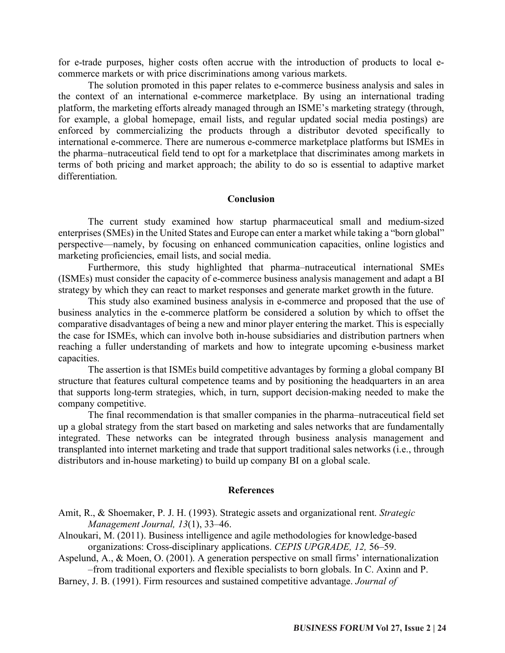for e-trade purposes, higher costs often accrue with the introduction of products to local ecommerce markets or with price discriminations among various markets.

The solution promoted in this paper relates to e-commerce business analysis and sales in the context of an international e-commerce marketplace. By using an international trading platform, the marketing efforts already managed through an ISME's marketing strategy (through, for example, a global homepage, email lists, and regular updated social media postings) are enforced by commercializing the products through a distributor devoted specifically to international e-commerce. There are numerous e-commerce marketplace platforms but ISMEs in the pharma–nutraceutical field tend to opt for a marketplace that discriminates among markets in terms of both pricing and market approach; the ability to do so is essential to adaptive market differentiation.

## **Conclusion**

The current study examined how startup pharmaceutical small and medium-sized enterprises (SMEs) in the United States and Europe can enter a market while taking a "born global" perspective—namely, by focusing on enhanced communication capacities, online logistics and marketing proficiencies, email lists, and social media.

Furthermore, this study highlighted that pharma–nutraceutical international SMEs (ISMEs) must consider the capacity of e-commerce business analysis management and adapt a BI strategy by which they can react to market responses and generate market growth in the future.

This study also examined business analysis in e-commerce and proposed that the use of business analytics in the e-commerce platform be considered a solution by which to offset the comparative disadvantages of being a new and minor player entering the market. This is especially the case for ISMEs, which can involve both in-house subsidiaries and distribution partners when reaching a fuller understanding of markets and how to integrate upcoming e-business market capacities.

The assertion is that ISMEs build competitive advantages by forming a global company BI structure that features cultural competence teams and by positioning the headquarters in an area that supports long-term strategies, which, in turn, support decision-making needed to make the company competitive.

The final recommendation is that smaller companies in the pharma–nutraceutical field set up a global strategy from the start based on marketing and sales networks that are fundamentally integrated. These networks can be integrated through business analysis management and transplanted into internet marketing and trade that support traditional sales networks (i.e., through distributors and in-house marketing) to build up company BI on a global scale.

#### **References**

- Amit, R., & Shoemaker, P. J. H. (1993). Strategic assets and organizational rent. *Strategic Management Journal, 13*(1), 33–46.
- Alnoukari, M. (2011). Business intelligence and agile methodologies for knowledge-based organizations: Cross-disciplinary applications. *CEPIS UPGRADE, 12,* 56–59.
- Aspelund, A., & Moen, O. (2001). A generation perspective on small firms' internationalization –from traditional exporters and flexible specialists to born globals. In C. Axinn and P.
- Barney, J. B. (1991). Firm resources and sustained competitive advantage. *Journal of*